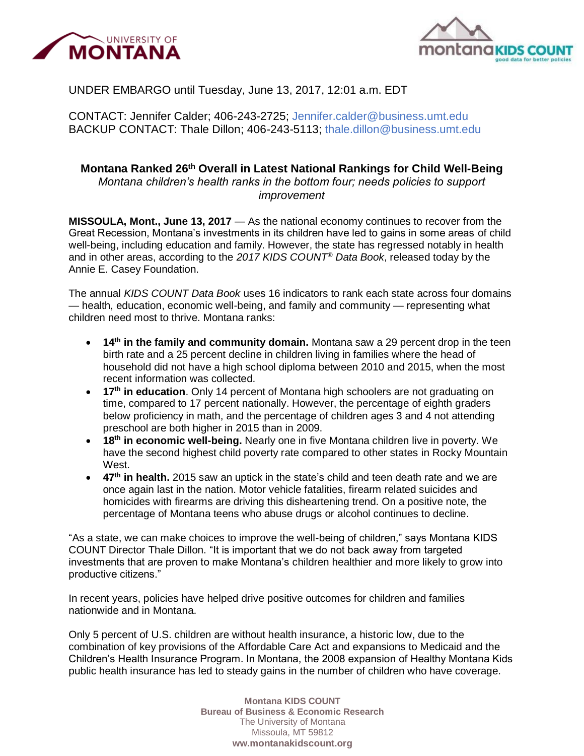



## UNDER EMBARGO until Tuesday, June 13, 2017, 12:01 a.m. EDT

CONTACT: Jennifer Calder; 406-243-2725; [Jennifer.calder@business.umt.edu](mailto:Jennifer.calder@business.umt.edu) BACKUP CONTACT: Thale Dillon; 406-243-5113; [thale.dillon@business.umt.edu](mailto:thale.dillon@business.umt.edu) 

# **Montana Ranked 26th Overall in Latest National Rankings for Child Well-Being**

*Montana children's health ranks in the bottom four; needs policies to support improvement*

**MISSOULA, Mont., June 13, 2017** — As the national economy continues to recover from the Great Recession, Montana's investments in its children have led to gains in some areas of child well-being, including education and family. However, the state has regressed notably in health and in other areas, according to the *2017 KIDS COUNT® Data Book*, released today by the Annie E. Casey Foundation.

The annual *KIDS COUNT Data Book* uses 16 indicators to rank each state across four domains — health, education, economic well-being, and family and community — representing what children need most to thrive. Montana ranks:

- **14th in the family and community domain.** Montana saw a 29 percent drop in the teen birth rate and a 25 percent decline in children living in families where the head of household did not have a high school diploma between 2010 and 2015, when the most recent information was collected.
- **17th in education**. Only 14 percent of Montana high schoolers are not graduating on time, compared to 17 percent nationally. However, the percentage of eighth graders below proficiency in math, and the percentage of children ages 3 and 4 not attending preschool are both higher in 2015 than in 2009.
- **18th in economic well-being.** Nearly one in five Montana children live in poverty. We have the second highest child poverty rate compared to other states in Rocky Mountain West.
- **47th in health.** 2015 saw an uptick in the state's child and teen death rate and we are once again last in the nation. Motor vehicle fatalities, firearm related suicides and homicides with firearms are driving this disheartening trend. On a positive note, the percentage of Montana teens who abuse drugs or alcohol continues to decline.

"As a state, we can make choices to improve the well-being of children," says Montana KIDS COUNT Director Thale Dillon. "It is important that we do not back away from targeted investments that are proven to make Montana's children healthier and more likely to grow into productive citizens."

In recent years, policies have helped drive positive outcomes for children and families nationwide and in Montana.

Only 5 percent of U.S. children are without health insurance, a historic low, due to the combination of key provisions of the Affordable Care Act and expansions to Medicaid and the Children's Health Insurance Program. In Montana, the 2008 expansion of Healthy Montana Kids public health insurance has led to steady gains in the number of children who have coverage.

> **Montana KIDS COUNT Bureau of Business & Economic Research** The University of Montana Missoula, MT 59812 **ww.montanakidscount.org**